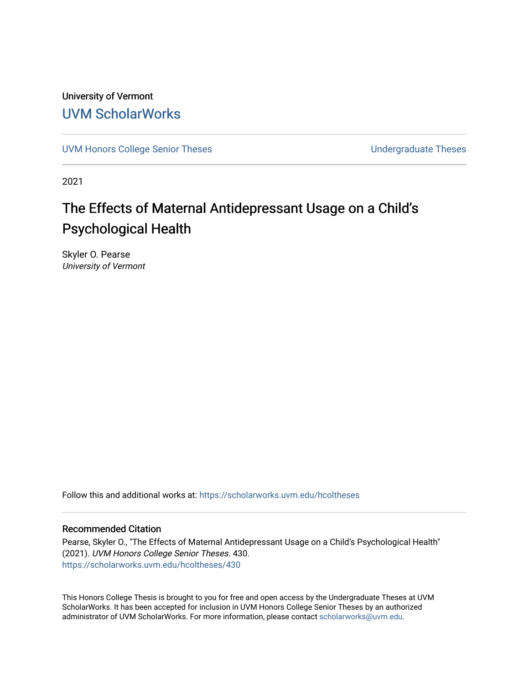University of Vermont [UVM ScholarWorks](https://scholarworks.uvm.edu/)

[UVM Honors College Senior Theses](https://scholarworks.uvm.edu/hcoltheses) **Exercise Sension College Senior Theses** Undergraduate Theses

2021

# The Effects of Maternal Antidepressant Usage on a Child's Psychological Health

Skyler O. Pearse University of Vermont

Follow this and additional works at: [https://scholarworks.uvm.edu/hcoltheses](https://scholarworks.uvm.edu/hcoltheses?utm_source=scholarworks.uvm.edu%2Fhcoltheses%2F430&utm_medium=PDF&utm_campaign=PDFCoverPages) 

### Recommended Citation

Pearse, Skyler O., "The Effects of Maternal Antidepressant Usage on a Child's Psychological Health" (2021). UVM Honors College Senior Theses. 430. [https://scholarworks.uvm.edu/hcoltheses/430](https://scholarworks.uvm.edu/hcoltheses/430?utm_source=scholarworks.uvm.edu%2Fhcoltheses%2F430&utm_medium=PDF&utm_campaign=PDFCoverPages) 

This Honors College Thesis is brought to you for free and open access by the Undergraduate Theses at UVM ScholarWorks. It has been accepted for inclusion in UVM Honors College Senior Theses by an authorized administrator of UVM ScholarWorks. For more information, please contact [scholarworks@uvm.edu](mailto:scholarworks@uvm.edu).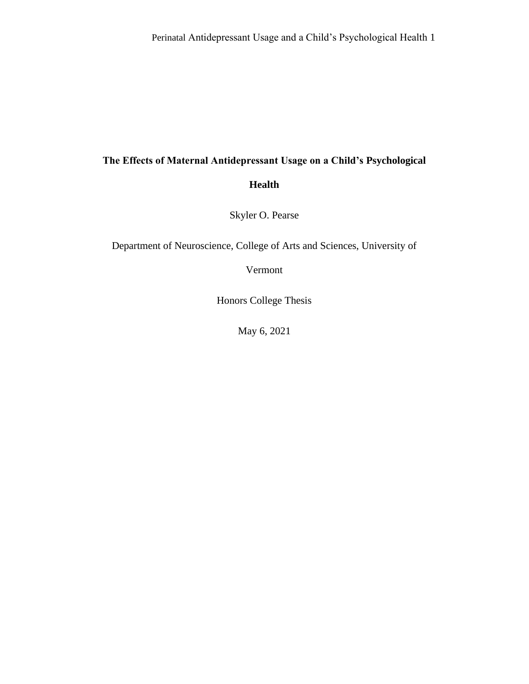# **The Effects of Maternal Antidepressant Usage on a Child's Psychological**

**Health**

Skyler O. Pearse

Department of Neuroscience, College of Arts and Sciences, University of

Vermont

Honors College Thesis

May 6, 2021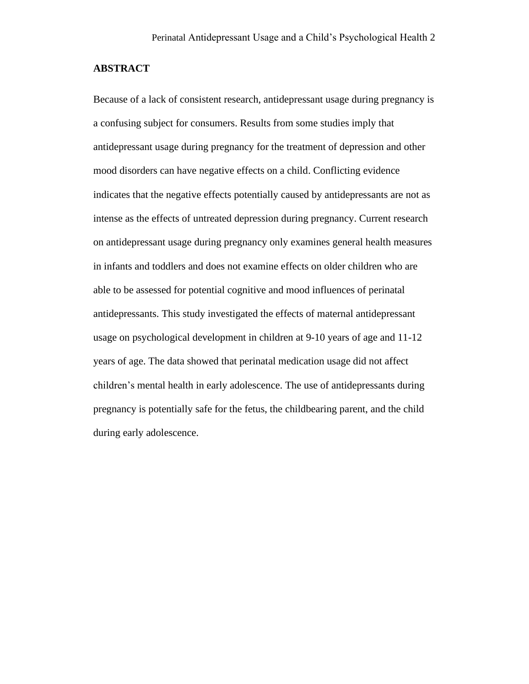#### **ABSTRACT**

Because of a lack of consistent research, antidepressant usage during pregnancy is a confusing subject for consumers. Results from some studies imply that antidepressant usage during pregnancy for the treatment of depression and other mood disorders can have negative effects on a child. Conflicting evidence indicates that the negative effects potentially caused by antidepressants are not as intense as the effects of untreated depression during pregnancy. Current research on antidepressant usage during pregnancy only examines general health measures in infants and toddlers and does not examine effects on older children who are able to be assessed for potential cognitive and mood influences of perinatal antidepressants. This study investigated the effects of maternal antidepressant usage on psychological development in children at 9-10 years of age and 11-12 years of age. The data showed that perinatal medication usage did not affect children's mental health in early adolescence. The use of antidepressants during pregnancy is potentially safe for the fetus, the childbearing parent, and the child during early adolescence.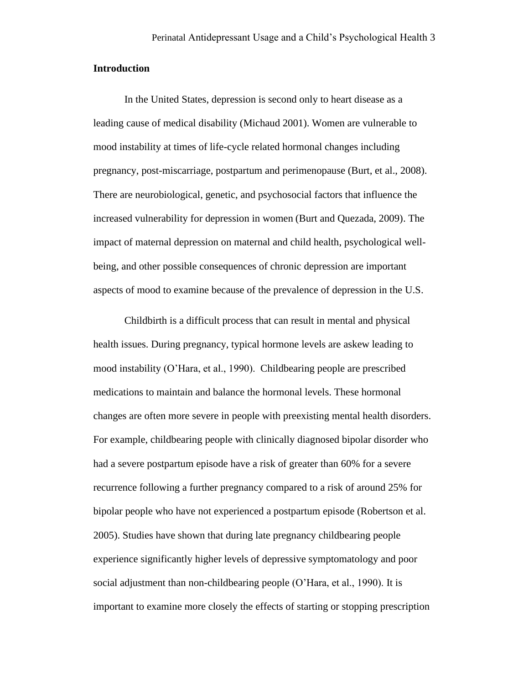#### **Introduction**

In the United States, depression is second only to heart disease as a leading cause of medical disability (Michaud 2001). Women are vulnerable to mood instability at times of life-cycle related hormonal changes including pregnancy, post-miscarriage, postpartum and perimenopause (Burt, et al., 2008). There are neurobiological, genetic, and psychosocial factors that influence the increased vulnerability for depression in women (Burt and Quezada, 2009). The impact of maternal depression on maternal and child health, psychological wellbeing, and other possible consequences of chronic depression are important aspects of mood to examine because of the prevalence of depression in the U.S.

Childbirth is a difficult process that can result in mental and physical health issues. During pregnancy, typical hormone levels are askew leading to mood instability (O'Hara, et al., 1990). Childbearing people are prescribed medications to maintain and balance the hormonal levels. These hormonal changes are often more severe in people with preexisting mental health disorders. For example, childbearing people with clinically diagnosed bipolar disorder who had a severe postpartum episode have a risk of greater than 60% for a severe recurrence following a further pregnancy compared to a risk of around 25% for bipolar people who have not experienced a postpartum episode (Robertson et al. 2005). Studies have shown that during late pregnancy childbearing people experience significantly higher levels of depressive symptomatology and poor social adjustment than non-childbearing people (O'Hara, et al., 1990). It is important to examine more closely the effects of starting or stopping prescription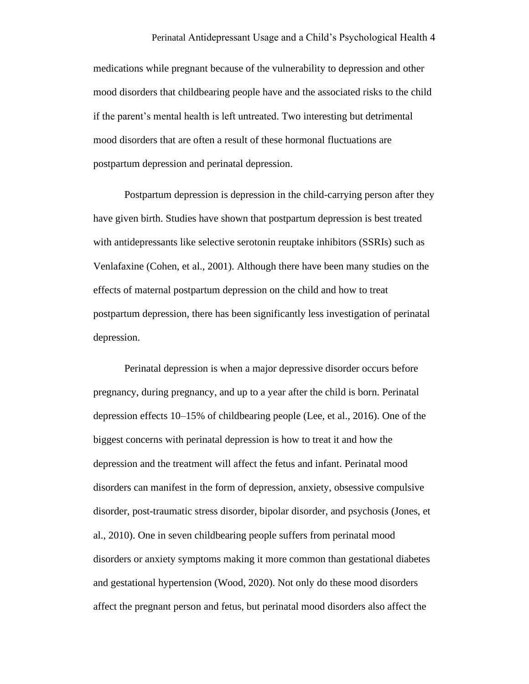medications while pregnant because of the vulnerability to depression and other mood disorders that childbearing people have and the associated risks to the child if the parent's mental health is left untreated. Two interesting but detrimental mood disorders that are often a result of these hormonal fluctuations are postpartum depression and perinatal depression.

Postpartum depression is depression in the child-carrying person after they have given birth. Studies have shown that postpartum depression is best treated with antidepressants like selective serotonin reuptake inhibitors (SSRIs) such as Venlafaxine (Cohen, et al., 2001). Although there have been many studies on the effects of maternal postpartum depression on the child and how to treat postpartum depression, there has been significantly less investigation of perinatal depression.

Perinatal depression is when a major depressive disorder occurs before pregnancy, during pregnancy, and up to a year after the child is born. Perinatal depression effects 10–15% of childbearing people (Lee, et al., 2016). One of the biggest concerns with perinatal depression is how to treat it and how the depression and the treatment will affect the fetus and infant. Perinatal mood disorders can manifest in the form of depression, anxiety, obsessive compulsive disorder, post-traumatic stress disorder, bipolar disorder, and psychosis (Jones, et al., 2010). One in seven childbearing people suffers from perinatal mood disorders or anxiety symptoms making it more common than gestational diabetes and gestational hypertension (Wood, 2020). Not only do these mood disorders affect the pregnant person and fetus, but perinatal mood disorders also affect the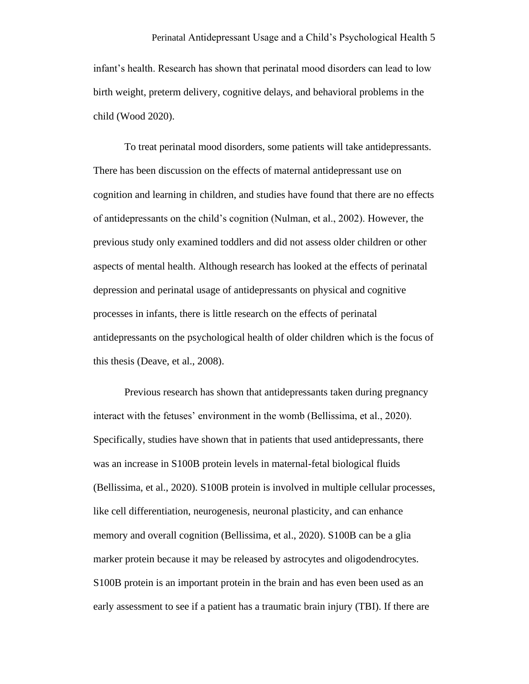infant's health. Research has shown that perinatal mood disorders can lead to low birth weight, preterm delivery, cognitive delays, and behavioral problems in the child (Wood 2020).

To treat perinatal mood disorders, some patients will take antidepressants. There has been discussion on the effects of maternal antidepressant use on cognition and learning in children, and studies have found that there are no effects of antidepressants on the child's cognition (Nulman, et al., 2002). However, the previous study only examined toddlers and did not assess older children or other aspects of mental health. Although research has looked at the effects of perinatal depression and perinatal usage of antidepressants on physical and cognitive processes in infants, there is little research on the effects of perinatal antidepressants on the psychological health of older children which is the focus of this thesis (Deave, et al., 2008).

Previous research has shown that antidepressants taken during pregnancy interact with the fetuses' environment in the womb (Bellissima, et al., 2020). Specifically, studies have shown that in patients that used antidepressants, there was an increase in S100B protein levels in maternal-fetal biological fluids (Bellissima, et al., 2020). S100B protein is involved in multiple cellular processes, like cell differentiation, neurogenesis, neuronal plasticity, and can enhance memory and overall cognition (Bellissima, et al., 2020). S100B can be a glia marker protein because it may be released by astrocytes and oligodendrocytes. S100B protein is an important protein in the brain and has even been used as an early assessment to see if a patient has a traumatic brain injury (TBI). If there are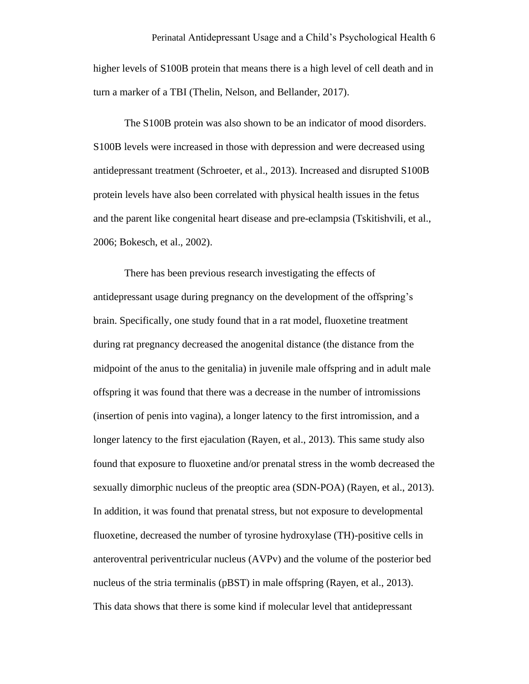higher levels of S100B protein that means there is a high level of cell death and in turn a marker of a TBI (Thelin, Nelson, and Bellander, 2017).

The S100B protein was also shown to be an indicator of mood disorders. S100B levels were increased in those with depression and were decreased using antidepressant treatment (Schroeter, et al., 2013). Increased and disrupted S100B protein levels have also been correlated with physical health issues in the fetus and the parent like congenital heart disease and pre-eclampsia (Tskitishvili, et al., 2006; Bokesch, et al., 2002).

There has been previous research investigating the effects of antidepressant usage during pregnancy on the development of the offspring's brain. Specifically, one study found that in a rat model, fluoxetine treatment during rat pregnancy decreased the anogenital distance (the distance from the midpoint of the anus to the genitalia) in juvenile male offspring and in adult male offspring it was found that there was a decrease in the number of intromissions (insertion of penis into vagina), a longer latency to the first intromission, and a longer latency to the first ejaculation (Rayen, et al., 2013). This same study also found that exposure to fluoxetine and/or prenatal stress in the womb decreased the sexually dimorphic nucleus of the preoptic area (SDN-POA) (Rayen, et al., 2013). In addition, it was found that prenatal stress, but not exposure to developmental fluoxetine, decreased the number of tyrosine hydroxylase (TH)-positive cells in anteroventral periventricular nucleus (AVPv) and the volume of the posterior bed nucleus of the stria terminalis (pBST) in male offspring (Rayen, et al., 2013). This data shows that there is some kind if molecular level that antidepressant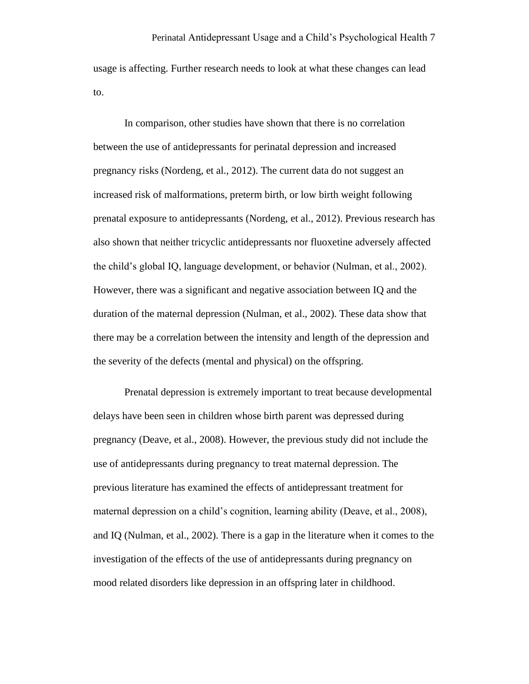usage is affecting. Further research needs to look at what these changes can lead to.

In comparison, other studies have shown that there is no correlation between the use of antidepressants for perinatal depression and increased pregnancy risks (Nordeng, et al., 2012). The current data do not suggest an increased risk of malformations, preterm birth, or low birth weight following prenatal exposure to antidepressants (Nordeng, et al., 2012). Previous research has also shown that neither tricyclic antidepressants nor fluoxetine adversely affected the child's global IQ, language development, or behavior (Nulman, et al., 2002). However, there was a significant and negative association between IQ and the duration of the maternal depression (Nulman, et al., 2002). These data show that there may be a correlation between the intensity and length of the depression and the severity of the defects (mental and physical) on the offspring.

Prenatal depression is extremely important to treat because developmental delays have been seen in children whose birth parent was depressed during pregnancy (Deave, et al., 2008). However, the previous study did not include the use of antidepressants during pregnancy to treat maternal depression. The previous literature has examined the effects of antidepressant treatment for maternal depression on a child's cognition, learning ability (Deave, et al., 2008), and IQ (Nulman, et al., 2002). There is a gap in the literature when it comes to the investigation of the effects of the use of antidepressants during pregnancy on mood related disorders like depression in an offspring later in childhood.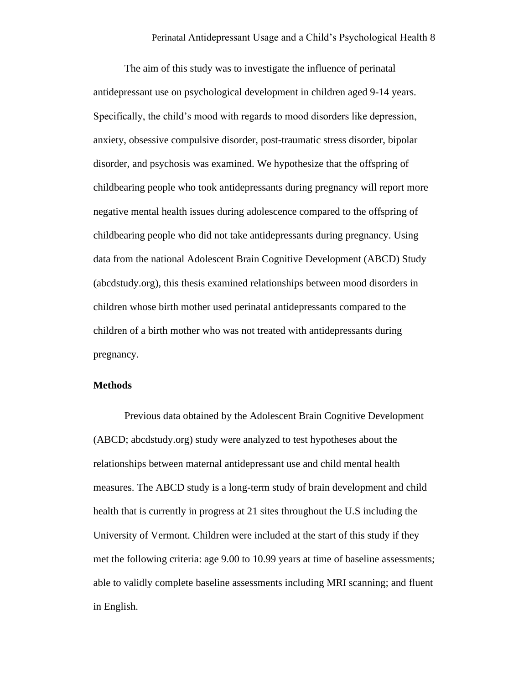The aim of this study was to investigate the influence of perinatal antidepressant use on psychological development in children aged 9-14 years. Specifically, the child's mood with regards to mood disorders like depression, anxiety, obsessive compulsive disorder, post-traumatic stress disorder, bipolar disorder, and psychosis was examined. We hypothesize that the offspring of childbearing people who took antidepressants during pregnancy will report more negative mental health issues during adolescence compared to the offspring of childbearing people who did not take antidepressants during pregnancy. Using data from the national Adolescent Brain Cognitive Development (ABCD) Study (abcdstudy.org), this thesis examined relationships between mood disorders in children whose birth mother used perinatal antidepressants compared to the children of a birth mother who was not treated with antidepressants during pregnancy.

# **Methods**

Previous data obtained by the Adolescent Brain Cognitive Development (ABCD; abcdstudy.org) study were analyzed to test hypotheses about the relationships between maternal antidepressant use and child mental health measures. The ABCD study is a long-term study of brain development and child health that is currently in progress at 21 sites throughout the U.S including the University of Vermont. Children were included at the start of this study if they met the following criteria: age 9.00 to 10.99 years at time of baseline assessments; able to validly complete baseline assessments including MRI scanning; and fluent in English.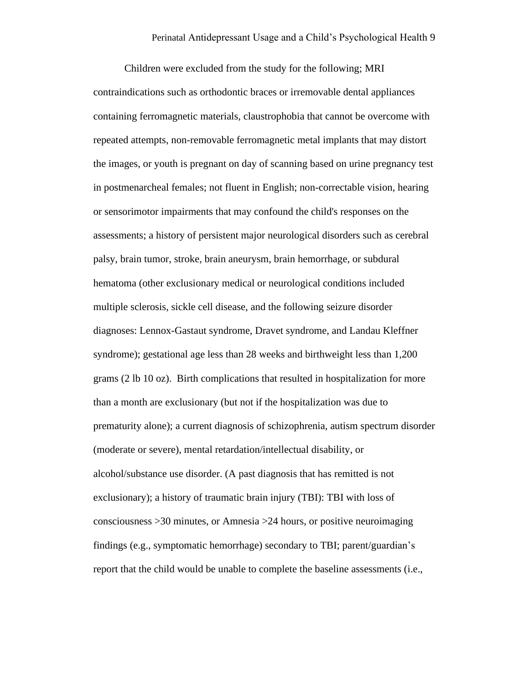Children were excluded from the study for the following; MRI contraindications such as orthodontic braces or irremovable dental appliances containing ferromagnetic materials, claustrophobia that cannot be overcome with repeated attempts, non-removable ferromagnetic metal implants that may distort the images, or youth is pregnant on day of scanning based on urine pregnancy test in postmenarcheal females; not fluent in English; non-correctable vision, hearing or sensorimotor impairments that may confound the child's responses on the assessments; a history of persistent major neurological disorders such as cerebral palsy, brain tumor, stroke, brain aneurysm, brain hemorrhage, or subdural hematoma (other exclusionary medical or neurological conditions included multiple sclerosis, sickle cell disease, and the following seizure disorder diagnoses: Lennox-Gastaut syndrome, Dravet syndrome, and Landau Kleffner syndrome); gestational age less than 28 weeks and birthweight less than 1,200 grams (2 lb 10 oz). Birth complications that resulted in hospitalization for more than a month are exclusionary (but not if the hospitalization was due to prematurity alone); a current diagnosis of schizophrenia, autism spectrum disorder (moderate or severe), mental retardation/intellectual disability, or alcohol/substance use disorder. (A past diagnosis that has remitted is not exclusionary); a history of traumatic brain injury (TBI): TBI with loss of consciousness >30 minutes, or Amnesia >24 hours, or positive neuroimaging findings (e.g., symptomatic hemorrhage) secondary to TBI; parent/guardian's report that the child would be unable to complete the baseline assessments (i.e.,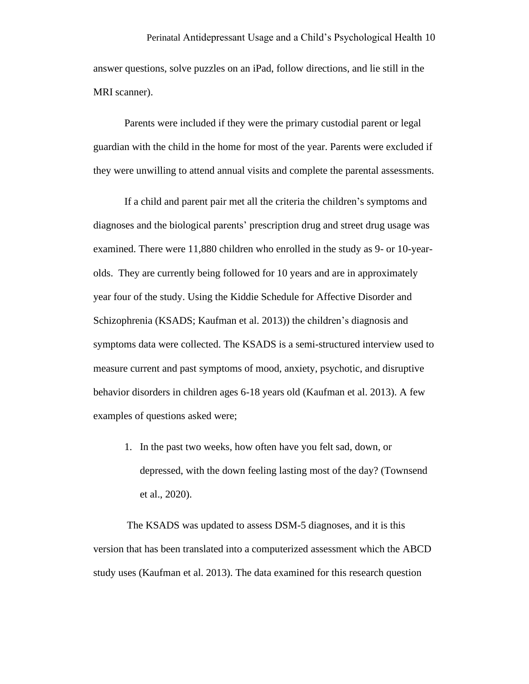answer questions, solve puzzles on an iPad, follow directions, and lie still in the MRI scanner).

Parents were included if they were the primary custodial parent or legal guardian with the child in the home for most of the year. Parents were excluded if they were unwilling to attend annual visits and complete the parental assessments.

If a child and parent pair met all the criteria the children's symptoms and diagnoses and the biological parents' prescription drug and street drug usage was examined. There were 11,880 children who enrolled in the study as 9- or 10-yearolds. They are currently being followed for 10 years and are in approximately year four of the study. Using the Kiddie Schedule for Affective Disorder and Schizophrenia (KSADS; Kaufman et al. 2013)) the children's diagnosis and symptoms data were collected. The KSADS is a semi-structured interview used to measure current and past symptoms of mood, anxiety, psychotic, and disruptive behavior disorders in children ages 6-18 years old (Kaufman et al. 2013). A few examples of questions asked were;

1. In the past two weeks, how often have you felt sad, down, or depressed, with the down feeling lasting most of the day? (Townsend et al., 2020).

The KSADS was updated to assess DSM-5 diagnoses, and it is this version that has been translated into a computerized assessment which the ABCD study uses (Kaufman et al. 2013). The data examined for this research question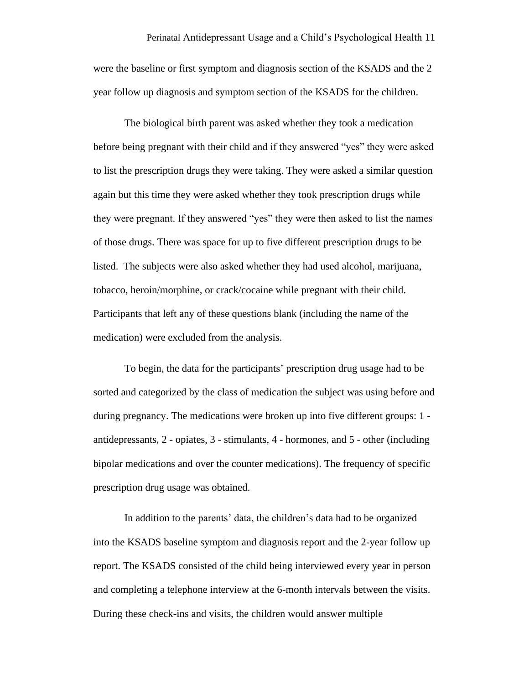were the baseline or first symptom and diagnosis section of the KSADS and the 2 year follow up diagnosis and symptom section of the KSADS for the children.

The biological birth parent was asked whether they took a medication before being pregnant with their child and if they answered "yes" they were asked to list the prescription drugs they were taking. They were asked a similar question again but this time they were asked whether they took prescription drugs while they were pregnant. If they answered "yes" they were then asked to list the names of those drugs. There was space for up to five different prescription drugs to be listed. The subjects were also asked whether they had used alcohol, marijuana, tobacco, heroin/morphine, or crack/cocaine while pregnant with their child. Participants that left any of these questions blank (including the name of the medication) were excluded from the analysis.

To begin, the data for the participants' prescription drug usage had to be sorted and categorized by the class of medication the subject was using before and during pregnancy. The medications were broken up into five different groups: 1 antidepressants, 2 - opiates, 3 - stimulants, 4 - hormones, and 5 - other (including bipolar medications and over the counter medications). The frequency of specific prescription drug usage was obtained.

In addition to the parents' data, the children's data had to be organized into the KSADS baseline symptom and diagnosis report and the 2-year follow up report. The KSADS consisted of the child being interviewed every year in person and completing a telephone interview at the 6-month intervals between the visits. During these check-ins and visits, the children would answer multiple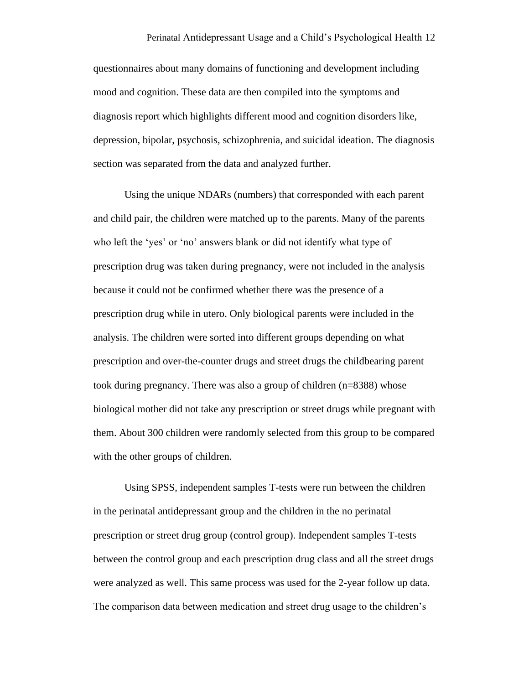questionnaires about many domains of functioning and development including mood and cognition. These data are then compiled into the symptoms and diagnosis report which highlights different mood and cognition disorders like, depression, bipolar, psychosis, schizophrenia, and suicidal ideation. The diagnosis section was separated from the data and analyzed further.

Using the unique NDARs (numbers) that corresponded with each parent and child pair, the children were matched up to the parents. Many of the parents who left the 'yes' or 'no' answers blank or did not identify what type of prescription drug was taken during pregnancy, were not included in the analysis because it could not be confirmed whether there was the presence of a prescription drug while in utero. Only biological parents were included in the analysis. The children were sorted into different groups depending on what prescription and over-the-counter drugs and street drugs the childbearing parent took during pregnancy. There was also a group of children (n=8388) whose biological mother did not take any prescription or street drugs while pregnant with them. About 300 children were randomly selected from this group to be compared with the other groups of children.

Using SPSS, independent samples T-tests were run between the children in the perinatal antidepressant group and the children in the no perinatal prescription or street drug group (control group). Independent samples T-tests between the control group and each prescription drug class and all the street drugs were analyzed as well. This same process was used for the 2-year follow up data. The comparison data between medication and street drug usage to the children's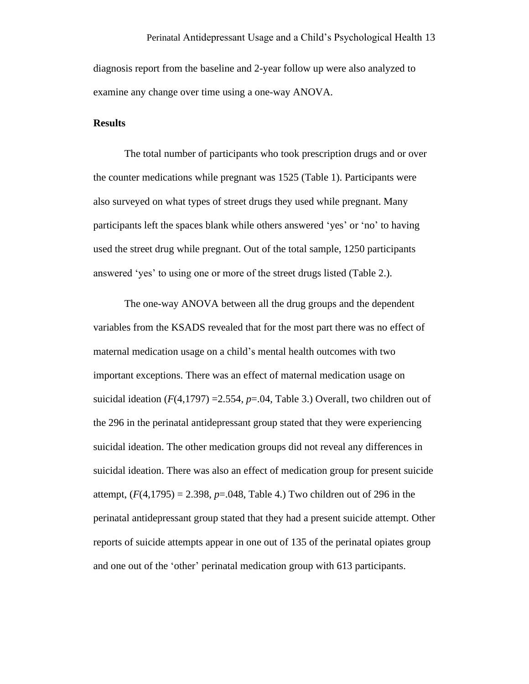diagnosis report from the baseline and 2-year follow up were also analyzed to examine any change over time using a one-way ANOVA.

### **Results**

The total number of participants who took prescription drugs and or over the counter medications while pregnant was 1525 (Table 1). Participants were also surveyed on what types of street drugs they used while pregnant. Many participants left the spaces blank while others answered 'yes' or 'no' to having used the street drug while pregnant. Out of the total sample, 1250 participants answered 'yes' to using one or more of the street drugs listed (Table 2.).

The one-way ANOVA between all the drug groups and the dependent variables from the KSADS revealed that for the most part there was no effect of maternal medication usage on a child's mental health outcomes with two important exceptions. There was an effect of maternal medication usage on suicidal ideation  $(F(4,1797) = 2.554, p = .04,$  Table 3.) Overall, two children out of the 296 in the perinatal antidepressant group stated that they were experiencing suicidal ideation. The other medication groups did not reveal any differences in suicidal ideation. There was also an effect of medication group for present suicide attempt,  $(F(4, 1795) = 2.398$ ,  $p = .048$ , Table 4.) Two children out of 296 in the perinatal antidepressant group stated that they had a present suicide attempt. Other reports of suicide attempts appear in one out of 135 of the perinatal opiates group and one out of the 'other' perinatal medication group with 613 participants.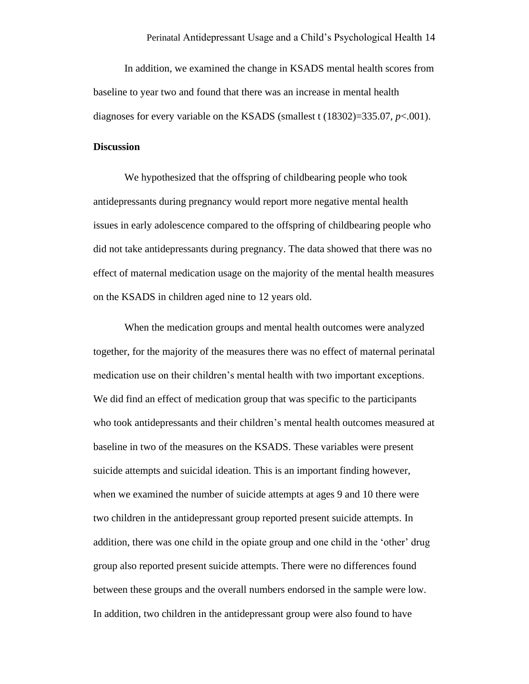In addition, we examined the change in KSADS mental health scores from baseline to year two and found that there was an increase in mental health diagnoses for every variable on the KSADS (smallest t (18302)=335.07, *p*<.001).

#### **Discussion**

We hypothesized that the offspring of childbearing people who took antidepressants during pregnancy would report more negative mental health issues in early adolescence compared to the offspring of childbearing people who did not take antidepressants during pregnancy. The data showed that there was no effect of maternal medication usage on the majority of the mental health measures on the KSADS in children aged nine to 12 years old.

When the medication groups and mental health outcomes were analyzed together, for the majority of the measures there was no effect of maternal perinatal medication use on their children's mental health with two important exceptions. We did find an effect of medication group that was specific to the participants who took antidepressants and their children's mental health outcomes measured at baseline in two of the measures on the KSADS. These variables were present suicide attempts and suicidal ideation. This is an important finding however, when we examined the number of suicide attempts at ages 9 and 10 there were two children in the antidepressant group reported present suicide attempts. In addition, there was one child in the opiate group and one child in the 'other' drug group also reported present suicide attempts. There were no differences found between these groups and the overall numbers endorsed in the sample were low. In addition, two children in the antidepressant group were also found to have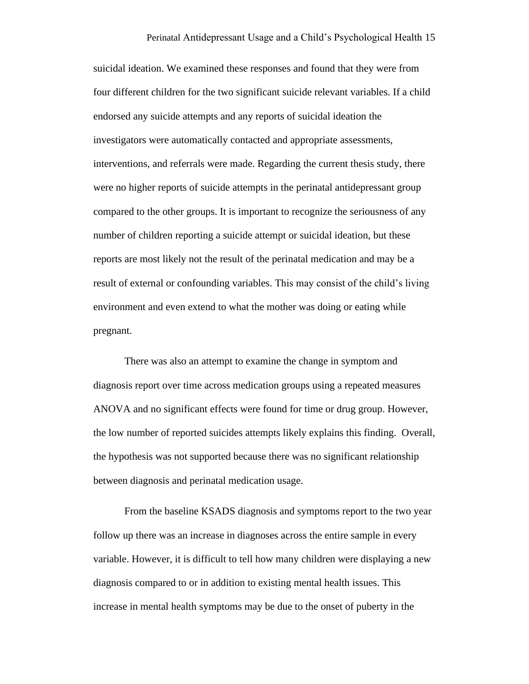suicidal ideation. We examined these responses and found that they were from four different children for the two significant suicide relevant variables. If a child endorsed any suicide attempts and any reports of suicidal ideation the investigators were automatically contacted and appropriate assessments, interventions, and referrals were made. Regarding the current thesis study, there were no higher reports of suicide attempts in the perinatal antidepressant group compared to the other groups. It is important to recognize the seriousness of any number of children reporting a suicide attempt or suicidal ideation, but these reports are most likely not the result of the perinatal medication and may be a result of external or confounding variables. This may consist of the child's living environment and even extend to what the mother was doing or eating while pregnant.

There was also an attempt to examine the change in symptom and diagnosis report over time across medication groups using a repeated measures ANOVA and no significant effects were found for time or drug group. However, the low number of reported suicides attempts likely explains this finding. Overall, the hypothesis was not supported because there was no significant relationship between diagnosis and perinatal medication usage.

From the baseline KSADS diagnosis and symptoms report to the two year follow up there was an increase in diagnoses across the entire sample in every variable. However, it is difficult to tell how many children were displaying a new diagnosis compared to or in addition to existing mental health issues. This increase in mental health symptoms may be due to the onset of puberty in the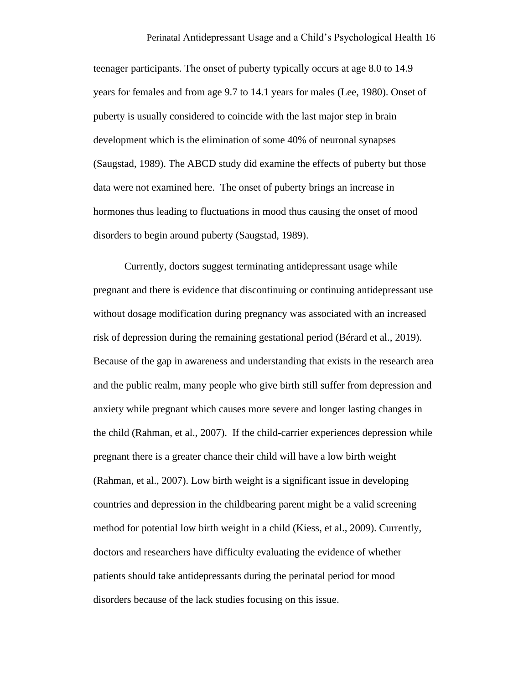teenager participants. The onset of puberty typically occurs at age 8.0 to 14.9 years for females and from age 9.7 to 14.1 years for males (Lee, 1980). Onset of puberty is usually considered to coincide with the last major step in brain development which is the elimination of some 40% of neuronal synapses (Saugstad, 1989). The ABCD study did examine the effects of puberty but those data were not examined here. The onset of puberty brings an increase in hormones thus leading to fluctuations in mood thus causing the onset of mood disorders to begin around puberty (Saugstad, 1989).

Currently, doctors suggest terminating antidepressant usage while pregnant and there is evidence that discontinuing or continuing antidepressant use without dosage modification during pregnancy was associated with an increased risk of depression during the remaining gestational period (Bérard et al., 2019). Because of the gap in awareness and understanding that exists in the research area and the public realm, many people who give birth still suffer from depression and anxiety while pregnant which causes more severe and longer lasting changes in the child (Rahman, et al., 2007). If the child-carrier experiences depression while pregnant there is a greater chance their child will have a low birth weight (Rahman, et al., 2007). Low birth weight is a significant issue in developing countries and depression in the childbearing parent might be a valid screening method for potential low birth weight in a child (Kiess, et al., 2009). Currently, doctors and researchers have difficulty evaluating the evidence of whether patients should take antidepressants during the perinatal period for mood disorders because of the lack studies focusing on this issue.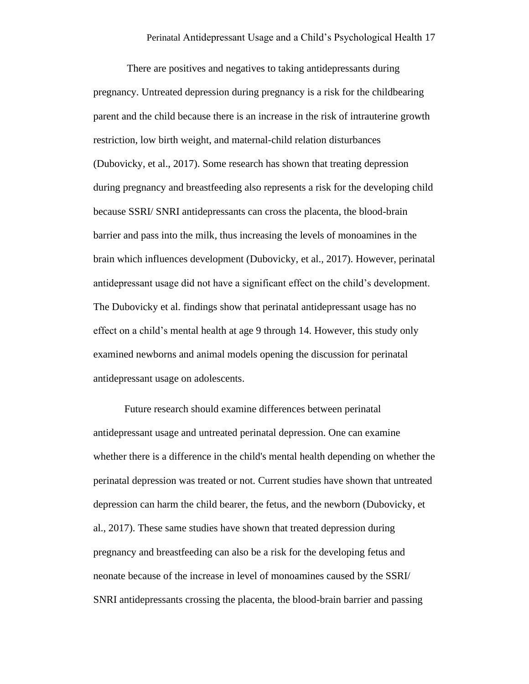There are positives and negatives to taking antidepressants during pregnancy. Untreated depression during pregnancy is a risk for the childbearing parent and the child because there is an increase in the risk of intrauterine growth restriction, low birth weight, and maternal-child relation disturbances (Dubovicky, et al., 2017). Some research has shown that treating depression during pregnancy and breastfeeding also represents a risk for the developing child because SSRI/ SNRI antidepressants can cross the placenta, the blood-brain barrier and pass into the milk, thus increasing the levels of monoamines in the brain which influences development (Dubovicky, et al., 2017). However, perinatal antidepressant usage did not have a significant effect on the child's development. The Dubovicky et al. findings show that perinatal antidepressant usage has no effect on a child's mental health at age 9 through 14. However, this study only examined newborns and animal models opening the discussion for perinatal antidepressant usage on adolescents.

Future research should examine differences between perinatal antidepressant usage and untreated perinatal depression. One can examine whether there is a difference in the child's mental health depending on whether the perinatal depression was treated or not. Current studies have shown that untreated depression can harm the child bearer, the fetus, and the newborn (Dubovicky, et al., 2017). These same studies have shown that treated depression during pregnancy and breastfeeding can also be a risk for the developing fetus and neonate because of the increase in level of monoamines caused by the SSRI/ SNRI antidepressants crossing the placenta, the blood-brain barrier and passing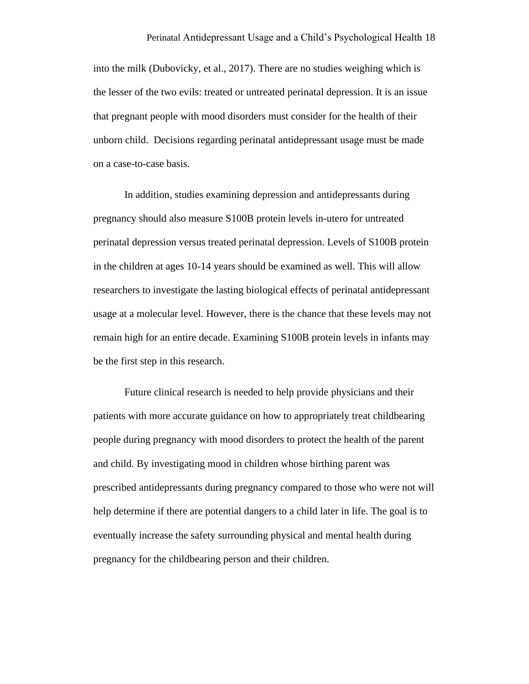into the milk (Dubovicky, et al., 2017). There are no studies weighing which is the lesser of the two evils: treated or untreated perinatal depression. It is an issue that pregnant people with mood disorders must consider for the health of their unborn child. Decisions regarding perinatal antidepressant usage must be made on a case-to-case basis.

In addition, studies examining depression and antidepressants during pregnancy should also measure S100B protein levels in-utero for untreated perinatal depression versus treated perinatal depression. Levels of S100B protein in the children at ages 10-14 years should be examined as well. This will allow researchers to investigate the lasting biological effects of perinatal antidepressant usage at a molecular level. However, there is the chance that these levels may not remain high for an entire decade. Examining S100B protein levels in infants may be the first step in this research.

Future clinical research is needed to help provide physicians and their patients with more accurate guidance on how to appropriately treat childbearing people during pregnancy with mood disorders to protect the health of the parent and child. By investigating mood in children whose birthing parent was prescribed antidepressants during pregnancy compared to those who were not will help determine if there are potential dangers to a child later in life. The goal is to eventually increase the safety surrounding physical and mental health during pregnancy for the childbearing person and their children.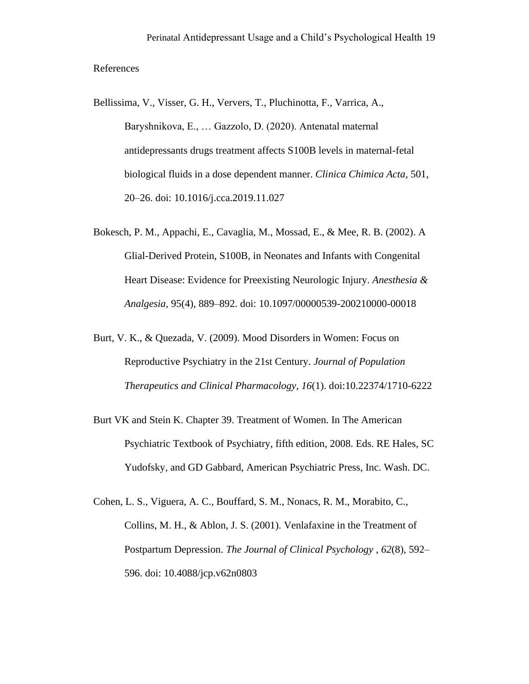#### References

- Bellissima, V., Visser, G. H., Ververs, T., Pluchinotta, F., Varrica, A., Baryshnikova, E., … Gazzolo, D. (2020). Antenatal maternal antidepressants drugs treatment affects S100B levels in maternal-fetal biological fluids in a dose dependent manner. *Clinica Chimica Acta*, 501, 20–26. doi: 10.1016/j.cca.2019.11.027
- Bokesch, P. M., Appachi, E., Cavaglia, M., Mossad, E., & Mee, R. B. (2002). A Glial-Derived Protein, S100B, in Neonates and Infants with Congenital Heart Disease: Evidence for Preexisting Neurologic Injury. *Anesthesia & Analgesia*, 95(4), 889–892. doi: 10.1097/00000539-200210000-00018
- Burt, V. K., & Quezada, V. (2009). Mood Disorders in Women: Focus on Reproductive Psychiatry in the 21st Century. *Journal of Population Therapeutics and Clinical Pharmacology, 16*(1). doi:10.22374/1710-6222
- Burt VK and Stein K. Chapter 39. Treatment of Women. In The American Psychiatric Textbook of Psychiatry, fifth edition, 2008. Eds. RE Hales, SC Yudofsky, and GD Gabbard, American Psychiatric Press, Inc. Wash. DC.
- Cohen, L. S., Viguera, A. C., Bouffard, S. M., Nonacs, R. M., Morabito, C., Collins, M. H., & Ablon, J. S. (2001). Venlafaxine in the Treatment of Postpartum Depression. *The Journal of Clinical Psychology* , *62*(8), 592– 596. doi: 10.4088/jcp.v62n0803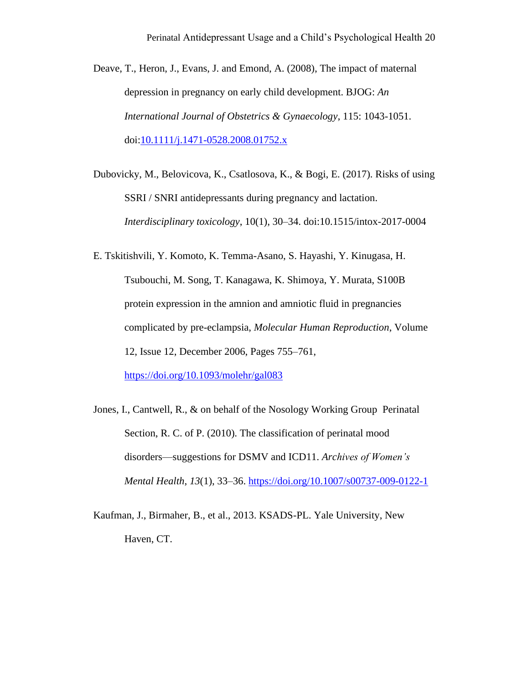Deave, T., Heron, J., Evans, J. and Emond, A. (2008), The impact of maternal depression in pregnancy on early child development. BJOG: *An International Journal of Obstetrics & Gynaecology*, 115: 1043-1051. doi[:10.1111/j.1471-0528.2008.01752.x](https://doi.org/10.1111/j.1471-0528.2008.01752.x)

Dubovicky, M., Belovicova, K., Csatlosova, K., & Bogi, E. (2017). Risks of using SSRI / SNRI antidepressants during pregnancy and lactation. *Interdisciplinary toxicology*, 10(1), 30–34. doi:10.1515/intox-2017-0004

E. Tskitishvili, Y. Komoto, K. Temma-Asano, S. Hayashi, Y. Kinugasa, H. Tsubouchi, M. Song, T. Kanagawa, K. Shimoya, Y. Murata, S100B protein expression in the amnion and amniotic fluid in pregnancies complicated by pre-eclampsia, *Molecular Human Reproduction*, Volume 12, Issue 12, December 2006, Pages 755–761,

<https://doi.org/10.1093/molehr/gal083>

- Jones, I., Cantwell, R., & on behalf of the Nosology Working Group Perinatal Section, R. C. of P. (2010). The classification of perinatal mood disorders—suggestions for DSMV and ICD11. *Archives of Women's Mental Health*, *13*(1), 33–36.<https://doi.org/10.1007/s00737-009-0122-1>
- Kaufman, J., Birmaher, B., et al., 2013. KSADS-PL. Yale University, New Haven, CT.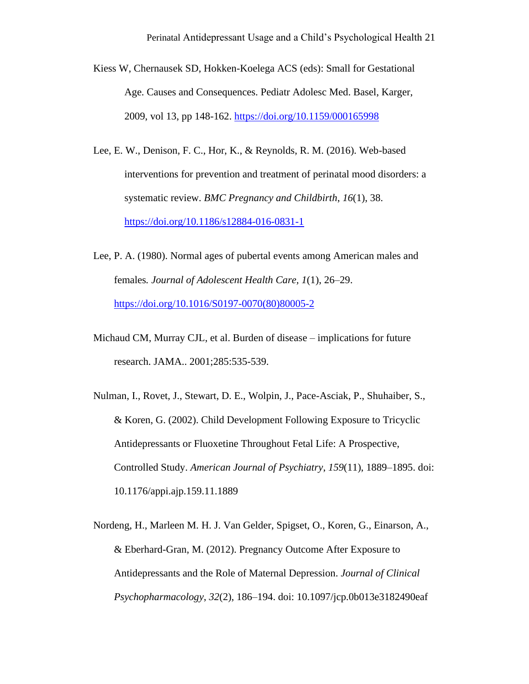- Kiess W, Chernausek SD, Hokken-Koelega ACS (eds): Small for Gestational Age. Causes and Consequences. Pediatr Adolesc Med. Basel, Karger, 2009, vol 13, pp 148-162.<https://doi.org/10.1159/000165998>
- Lee, E. W., Denison, F. C., Hor, K., & Reynolds, R. M. (2016). Web-based interventions for prevention and treatment of perinatal mood disorders: a systematic review. *BMC Pregnancy and Childbirth*, *16*(1), 38. <https://doi.org/10.1186/s12884-016-0831-1>
- Lee, P. A. (1980). Normal ages of pubertal events among American males and females*. Journal of Adolescent Health Care, 1*(1), 26–29. [https://doi.org/10.1016/S0197-0070\(80\)80005-2](https://doi.org/10.1016/S0197-0070(80)80005-2)
- Michaud CM, Murray CJL, et al. Burden of disease implications for future research. JAMA.. 2001;285:535-539.
- Nulman, I., Rovet, J., Stewart, D. E., Wolpin, J., Pace-Asciak, P., Shuhaiber, S., & Koren, G. (2002). Child Development Following Exposure to Tricyclic Antidepressants or Fluoxetine Throughout Fetal Life: A Prospective, Controlled Study. *American Journal of Psychiatry*, *159*(11), 1889–1895. doi: 10.1176/appi.ajp.159.11.1889
- Nordeng, H., Marleen M. H. J. Van Gelder, Spigset, O., Koren, G., Einarson, A., & Eberhard-Gran, M. (2012). Pregnancy Outcome After Exposure to Antidepressants and the Role of Maternal Depression. *Journal of Clinical Psychopharmacology*, *32*(2), 186–194. doi: 10.1097/jcp.0b013e3182490eaf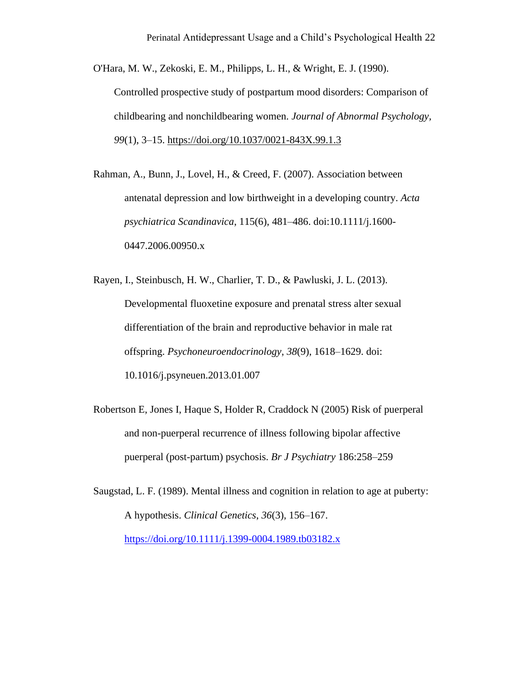O'Hara, M. W., Zekoski, E. M., Philipps, L. H., & Wright, E. J. (1990). Controlled prospective study of postpartum mood disorders: Comparison of childbearing and nonchildbearing women. *Journal of Abnormal Psychology, 99*(1), 3–15. [https://doi.org/10.1037/0021-843X.99.1.3](https://psycnet.apa.org/doi/10.1037/0021-843X.99.1.3)

Rahman, A., Bunn, J., Lovel, H., & Creed, F. (2007). Association between antenatal depression and low birthweight in a developing country. *Acta psychiatrica Scandinavica*, 115(6), 481–486. doi:10.1111/j.1600- 0447.2006.00950.x

Rayen, I., Steinbusch, H. W., Charlier, T. D., & Pawluski, J. L. (2013). Developmental fluoxetine exposure and prenatal stress alter sexual differentiation of the brain and reproductive behavior in male rat offspring. *Psychoneuroendocrinology*, *38*(9), 1618–1629. doi: 10.1016/j.psyneuen.2013.01.007

- Robertson E, Jones I, Haque S, Holder R, Craddock N (2005) Risk of puerperal and non-puerperal recurrence of illness following bipolar affective puerperal (post-partum) psychosis. *Br J Psychiatry* 186:258–259
- Saugstad, L. F. (1989). Mental illness and cognition in relation to age at puberty: A hypothesis. *Clinical Genetics*, *36*(3), 156–167. <https://doi.org/10.1111/j.1399-0004.1989.tb03182.x>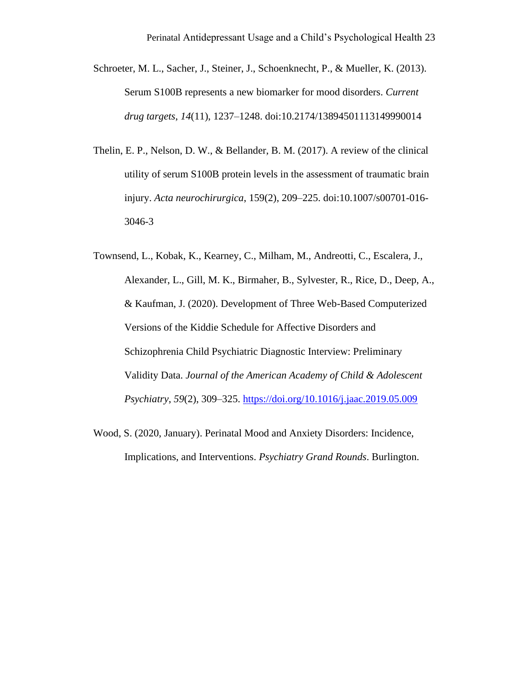- Schroeter, M. L., Sacher, J., Steiner, J., Schoenknecht, P., & Mueller, K. (2013). Serum S100B represents a new biomarker for mood disorders. *Current drug targets*, *14*(11), 1237–1248. doi:10.2174/13894501113149990014
- Thelin, E. P., Nelson, D. W., & Bellander, B. M. (2017). A review of the clinical utility of serum S100B protein levels in the assessment of traumatic brain injury. *Acta neurochirurgica*, 159(2), 209–225. doi:10.1007/s00701-016- 3046-3
- Townsend, L., Kobak, K., Kearney, C., Milham, M., Andreotti, C., Escalera, J., Alexander, L., Gill, M. K., Birmaher, B., Sylvester, R., Rice, D., Deep, A., & Kaufman, J. (2020). Development of Three Web-Based Computerized Versions of the Kiddie Schedule for Affective Disorders and Schizophrenia Child Psychiatric Diagnostic Interview: Preliminary Validity Data. *Journal of the American Academy of Child & Adolescent Psychiatry*, *59*(2), 309–325.<https://doi.org/10.1016/j.jaac.2019.05.009>
- Wood, S. (2020, January). Perinatal Mood and Anxiety Disorders: Incidence, Implications, and Interventions. *Psychiatry Grand Rounds*. Burlington.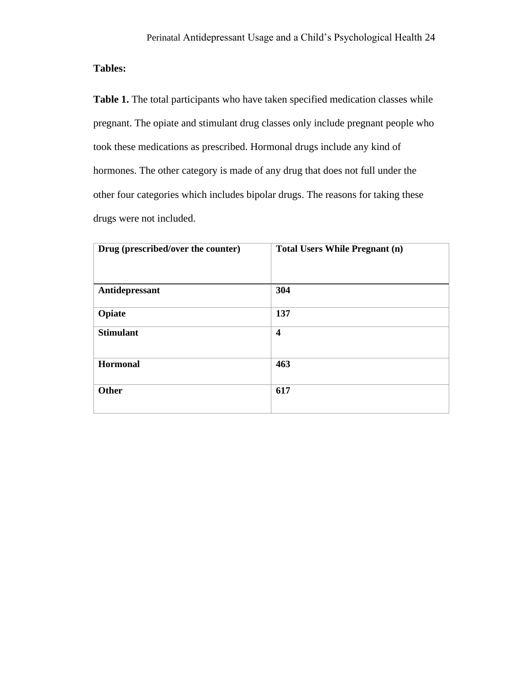**Tables:**

Table 1. The total participants who have taken specified medication classes while pregnant. The opiate and stimulant drug classes only include pregnant people who took these medications as prescribed. Hormonal drugs include any kind of hormones. The other category is made of any drug that does not full under the other four categories which includes bipolar drugs. The reasons for taking these drugs were not included.

| Drug (prescribed/over the counter) | <b>Total Users While Pregnant (n)</b> |
|------------------------------------|---------------------------------------|
| Antidepressant                     | 304                                   |
| Opiate                             | 137                                   |
| <b>Stimulant</b>                   | $\overline{\mathbf{4}}$               |
| Hormonal                           | 463                                   |
| <b>Other</b>                       | 617                                   |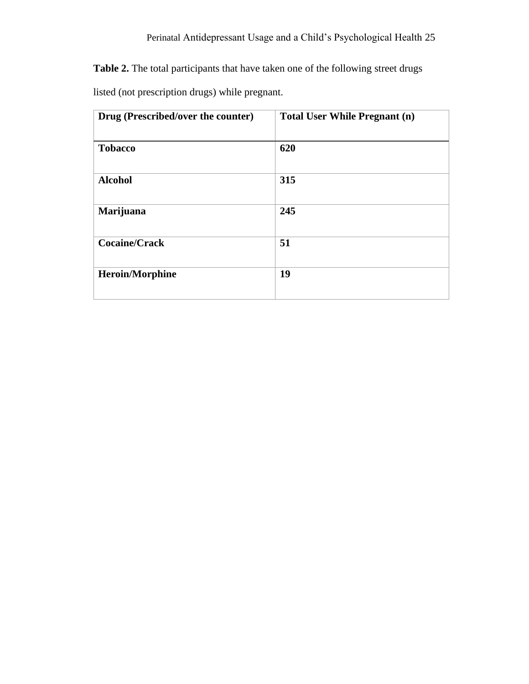**Table 2.** The total participants that have taken one of the following street drugs

listed (not prescription drugs) while pregnant.

| Drug (Prescribed/over the counter) | <b>Total User While Pregnant (n)</b> |
|------------------------------------|--------------------------------------|
| <b>Tobacco</b>                     | 620                                  |
| <b>Alcohol</b>                     | 315                                  |
| Marijuana                          | 245                                  |
| <b>Cocaine/Crack</b>               | 51                                   |
| <b>Heroin/Morphine</b>             | 19                                   |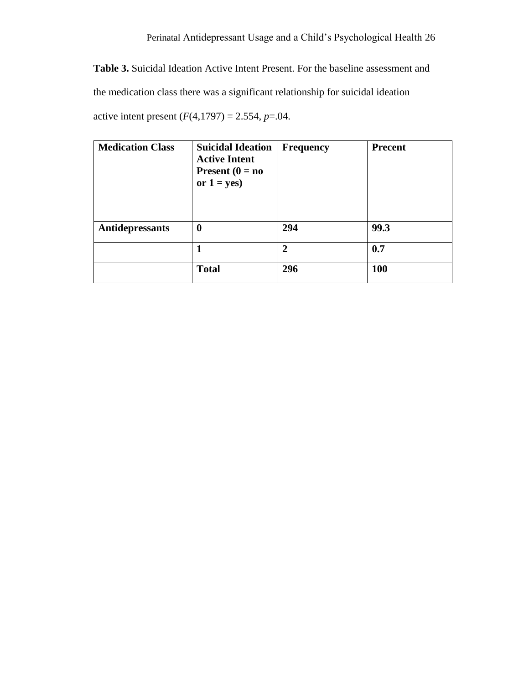**Table 3.** Suicidal Ideation Active Intent Present. For the baseline assessment and the medication class there was a significant relationship for suicidal ideation active intent present  $(F(4, 1797) = 2.554, p = .04$ .

| <b>Medication Class</b> | <b>Suicidal Ideation</b><br><b>Active Intent</b><br>Present $(0 = no)$<br>or $1 = yes$ ) | <b>Frequency</b> | <b>Precent</b> |
|-------------------------|------------------------------------------------------------------------------------------|------------------|----------------|
| Antidepressants         | 0                                                                                        | 294              | 99.3           |
|                         |                                                                                          | $\overline{2}$   | 0.7            |
|                         | <b>Total</b>                                                                             | 296              | <b>100</b>     |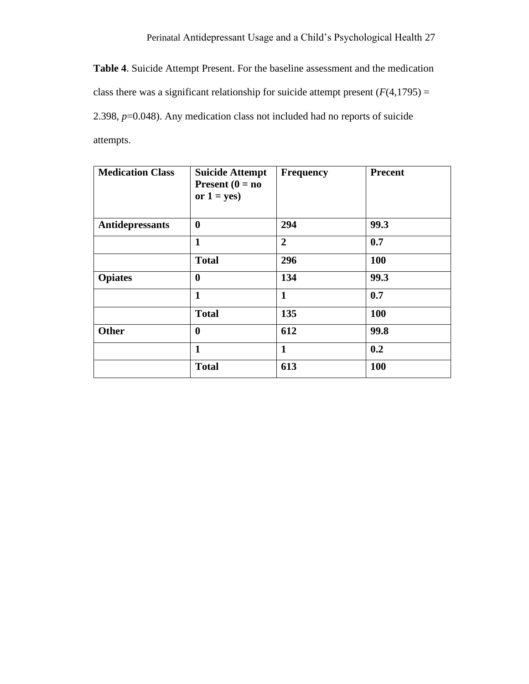**Table 4**. Suicide Attempt Present. For the baseline assessment and the medication class there was a significant relationship for suicide attempt present  $(F(4,1795)) =$ 2.398, *p*=0.048). Any medication class not included had no reports of suicide attempts.

| <b>Medication Class</b> | <b>Suicide Attempt</b><br>Present $(0 = no$<br>or $1 = yes$ ) | <b>Frequency</b> | <b>Precent</b> |
|-------------------------|---------------------------------------------------------------|------------------|----------------|
| Antidepressants         | $\boldsymbol{0}$                                              | 294              | 99.3           |
|                         | 1                                                             | $\overline{2}$   | 0.7            |
|                         | <b>Total</b>                                                  | 296              | <b>100</b>     |
| <b>Opiates</b>          | $\bf{0}$                                                      | 134              | 99.3           |
|                         | $\mathbf{1}$                                                  | $\mathbf{1}$     | 0.7            |
|                         | <b>Total</b>                                                  | 135              | 100            |
| <b>Other</b>            | $\boldsymbol{0}$                                              | 612              | 99.8           |
|                         | $\mathbf{1}$                                                  | $\mathbf{1}$     | 0.2            |
|                         | <b>Total</b>                                                  | 613              | <b>100</b>     |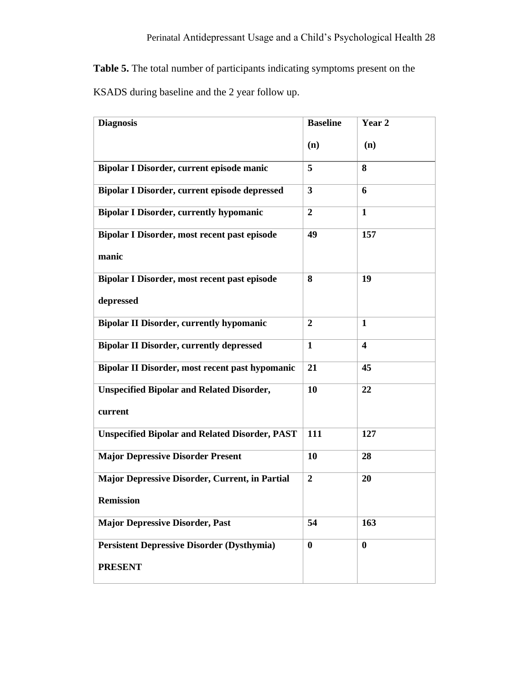**Table 5.** The total number of participants indicating symptoms present on the KSADS during baseline and the 2 year follow up.

| <b>Diagnosis</b>                                      | <b>Baseline</b>  | Year <sub>2</sub>       |
|-------------------------------------------------------|------------------|-------------------------|
|                                                       | (n)              | (n)                     |
| Bipolar I Disorder, current episode manic             | 5                | 8                       |
| Bipolar I Disorder, current episode depressed         | 3                | 6                       |
| <b>Bipolar I Disorder, currently hypomanic</b>        | $\boldsymbol{2}$ | $\mathbf{1}$            |
| Bipolar I Disorder, most recent past episode          | 49               | 157                     |
| manic                                                 |                  |                         |
| Bipolar I Disorder, most recent past episode          | 8                | 19                      |
| depressed                                             |                  |                         |
| <b>Bipolar II Disorder, currently hypomanic</b>       | $\overline{2}$   | $\mathbf{1}$            |
| <b>Bipolar II Disorder, currently depressed</b>       | 1                | $\overline{\mathbf{4}}$ |
| Bipolar II Disorder, most recent past hypomanic       | 21               | 45                      |
| <b>Unspecified Bipolar and Related Disorder,</b>      | 10               | 22                      |
| current                                               |                  |                         |
| <b>Unspecified Bipolar and Related Disorder, PAST</b> | 111              | 127                     |
| <b>Major Depressive Disorder Present</b>              | 10               | 28                      |
| <b>Major Depressive Disorder, Current, in Partial</b> | $\overline{2}$   | 20                      |
| <b>Remission</b>                                      |                  |                         |
| <b>Major Depressive Disorder, Past</b>                | 54               | 163                     |
| <b>Persistent Depressive Disorder (Dysthymia)</b>     | $\boldsymbol{0}$ | $\bf{0}$                |
| <b>PRESENT</b>                                        |                  |                         |